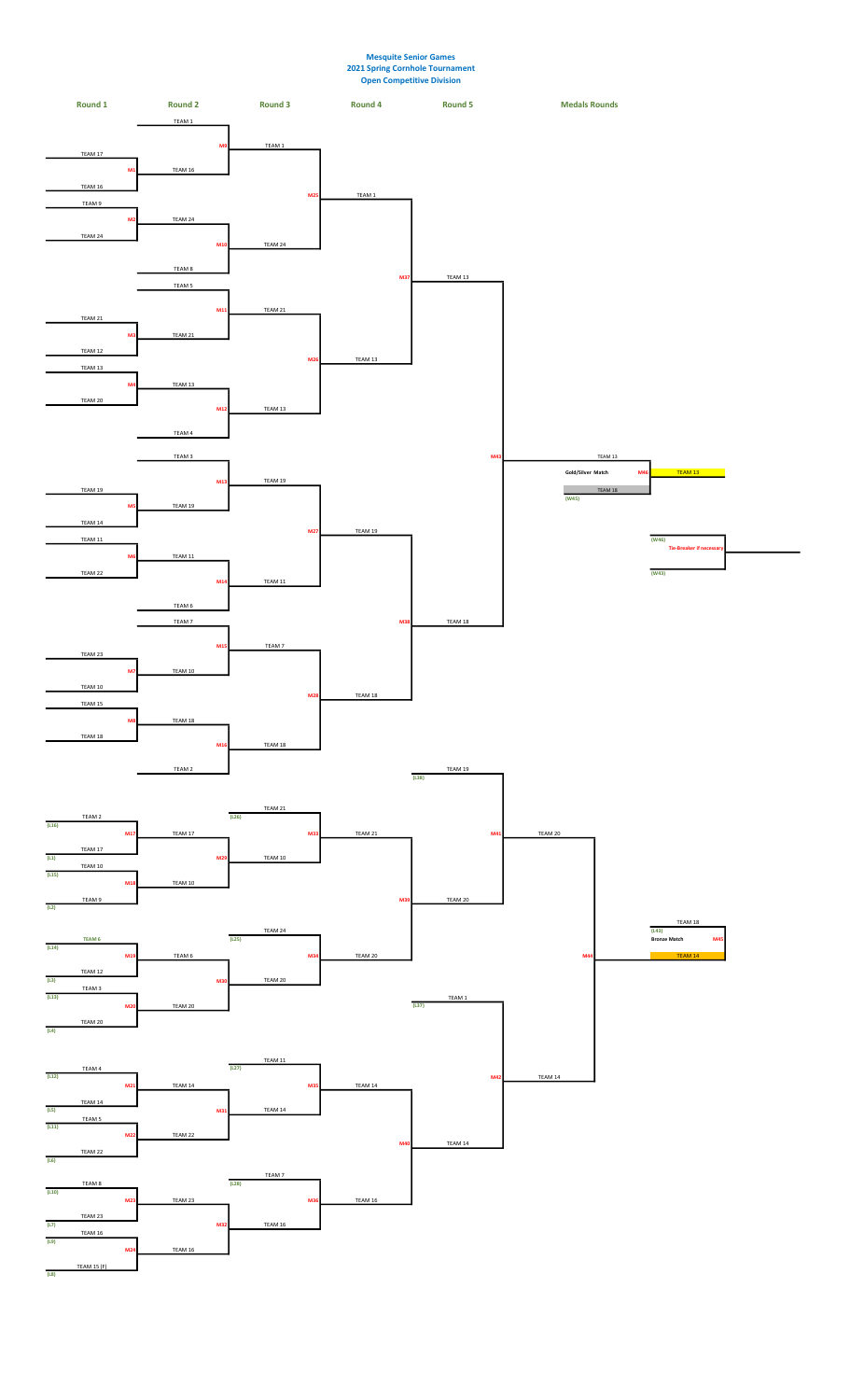